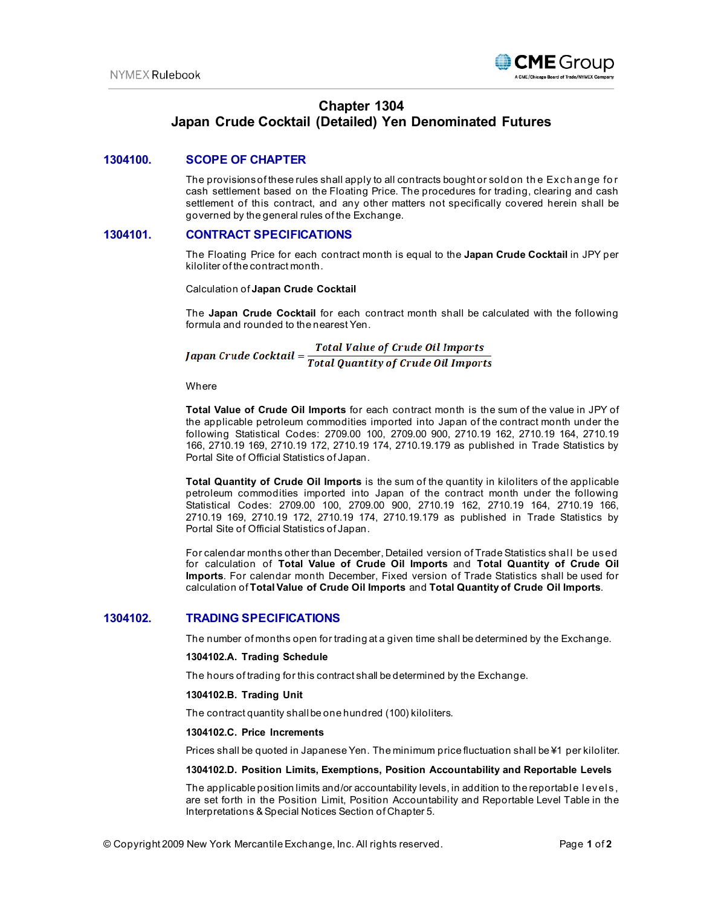

# **Chapter 1304 Japan Crude Cocktail (Detailed) Yen Denominated Futures**

# **1304100. SCOPE OF CHAPTER**

The provisions of these rules shall apply to all contracts bought or sold on th e Exch an ge fo r cash settlement based on the Floating Price. The procedures for trading, clearing and cash settlement of this contract, and any other matters not specifically covered herein shall be governed by the general rules of the Exchange.

# **1304101. CONTRACT SPECIFICATIONS**

The Floating Price for each contract month is equal to the **Japan Crude Cocktail** in JPY per kiloliter of the contract month.

Calculation of **Japan Crude Cocktail**

The **Japan Crude Cocktail** for each contract month shall be calculated with the following formula and rounded to the nearest Yen.

**Japan Crude Cocktail =**  $\frac{Total Value of crude Oil \, Imports}{Total \, Quantity \, of \, crude \, Oil \, Imports}$ 

**Where** 

**Total Value of Crude Oil Imports** for each contract month is the sum of the value in JPY of the applicable petroleum commodities imported into Japan of the contract month under the following Statistical Codes: 2709.00 100, 2709.00 900, 2710.19 162, 2710.19 164, 2710.19 166, 2710.19 169, 2710.19 172, 2710.19 174, 2710.19.179 as published in Trade Statistics by Portal Site of Official Statistics of Japan.

**Total Quantity of Crude Oil Imports** is the sum of the quantity in kiloliters of the applicable petroleum commodities imported into Japan of the contract month under the following Statistical Codes: 2709.00 100, 2709.00 900, 2710.19 162, 2710.19 164, 2710.19 166, 2710.19 169, 2710.19 172, 2710.19 174, 2710.19.179 as published in Trade Statistics by Portal Site of Official Statistics of Japan.

For calendar months other than December, Detailed version of Trade Statistics shal l be used for calculation of **Total Value of Crude Oil Imports** and **Total Quantity of Crude Oil Imports**. For calendar month December, Fixed version of Trade Statistics shall be used for calculation of **Total Value of Crude Oil Imports** and **Total Quantity of Crude Oil Imports**.

# **1304102. TRADING SPECIFICATIONS**

The number of months open for trading at a given time shall be determined by the Exchange.

### **1304102.A. Trading Schedule**

The hours of trading for this contract shall be determined by the Exchange.

#### **1304102.B. Trading Unit**

The contract quantity shall be one hundred (100) kiloliters.

#### **1304102.C. Price Increments**

Prices shall be quoted in Japanese Yen. The minimum price fluctuation shall be ¥1 per kiloliter.

#### **1304102.D. Position Limits, Exemptions, Position Accountability and Reportable Levels**

The applicable position limits and/or accountability levels, in addition to the reportable levels, are set forth in the Position Limit, Position Accountability and Reportable Level Table in the Interpretations & Special Notices Section of Chapter 5.